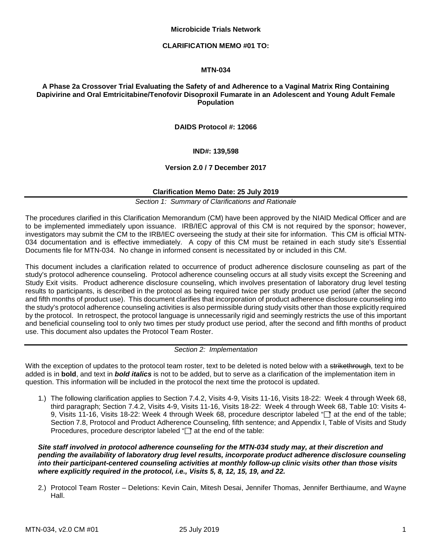#### **Microbicide Trials Network**

#### **CLARIFICATION MEMO #01 TO:**

# **MTN-034**

# **A Phase 2a Crossover Trial Evaluating the Safety of and Adherence to a Vaginal Matrix Ring Containing Dapivirine and Oral Emtricitabine/Tenofovir Disoproxil Fumarate in an Adolescent and Young Adult Female Population**

### **DAIDS Protocol #: 12066**

## **IND#: 139,598**

### **Version 2.0 / 7 December 2017**

## **Clarification Memo Date: 25 July 2019**

*Section 1: Summary of Clarifications and Rationale* 

The procedures clarified in this Clarification Memorandum (CM) have been approved by the NIAID Medical Officer and are to be implemented immediately upon issuance. IRB/IEC approval of this CM is not required by the sponsor; however, investigators may submit the CM to the IRB/IEC overseeing the study at their site for information. This CM is official MTN-034 documentation and is effective immediately. A copy of this CM must be retained in each study site's Essential Documents file for MTN-034. No change in informed consent is necessitated by or included in this CM.

This document includes a clarification related to occurrence of product adherence disclosure counseling as part of the study's protocol adherence counseling. Protocol adherence counseling occurs at all study visits except the Screening and Study Exit visits. Product adherence disclosure counseling, which involves presentation of laboratory drug level testing results to participants, is described in the protocol as being required twice per study product use period (after the second and fifth months of product use). This document clarifies that incorporation of product adherence disclosure counseling into the study's protocol adherence counseling activities is also permissible during study visits other than those explicitly required by the protocol. In retrospect, the protocol language is unnecessarily rigid and seemingly restricts the use of this important and beneficial counseling tool to only two times per study product use period, after the second and fifth months of product use. This document also updates the Protocol Team Roster.

### *Section 2: Implementation*

With the exception of updates to the protocol team roster, text to be deleted is noted below with a strikethrough, text to be added is in **bold**, and text in *bold italics* is not to be added, but to serve as a clarification of the implementation item in question. This information will be included in the protocol the next time the protocol is updated.

1.) The following clarification applies to Section 7.4.2, Visits 4-9, Visits 11-16, Visits 18-22: Week 4 through Week 68, third paragraph; Section 7.4.2, Visits 4-9, Visits 11-16, Visits 18-22: Week 4 through Week 68, Table 10: Visits 4- 9, Visits 11-16, Visits 18-22: Week 4 through Week 68, procedure descriptor labeled "nat the end of the table; Section 7.8, Protocol and Product Adherence Counseling, fifth sentence; and Appendix I, Table of Visits and Study Procedures, procedure descriptor labeled "" at the end of the table:

*Site staff involved in protocol adherence counseling for the MTN-034 study may, at their discretion and pending the availability of laboratory drug level results, incorporate product adherence disclosure counseling into their participant-centered counseling activities at monthly follow-up clinic visits other than those visits where explicitly required in the protocol, i.e., Visits 5, 8, 12, 15, 19, and 22.*

2.) Protocol Team Roster – Deletions: Kevin Cain, Mitesh Desai, Jennifer Thomas, Jennifer Berthiaume, and Wayne Hall.